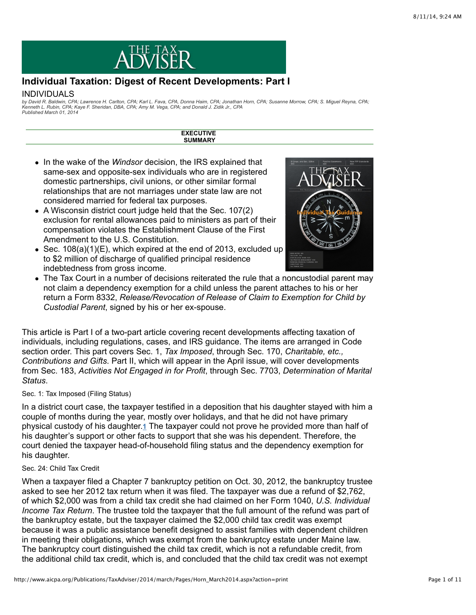

# **Individual Taxation: Digest of Recent Developments: Part I**

## INDIVIDUALS

by David R. Baldwin, CPA; Lawrence H. Carlton, CPA; Karl L. Fava, CPA, Donna Haim, CPA; Jonathan Horn, CPA; Susanne Morrow, CPA; S. Miguel Reyna, CPA;<br>Kenneth L. Rubin, CPA; Kaye F. Sheridan, DBA, CPA; Amy M. Vega, CPA; an *Published March 01, 2014*

> **EXECUTIVE SUMMARY**

- In the wake of the *Windsor* decision, the IRS explained that same-sex and opposite-sex individuals who are in registered domestic partnerships, civil unions, or other similar formal relationships that are not marriages under state law are not considered married for federal tax purposes.
- A Wisconsin district court judge held that the Sec. 107(2) exclusion for rental allowances paid to ministers as part of their compensation violates the Establishment Clause of the First Amendment to the U.S. Constitution.
- $\bullet$  Sec. 108(a)(1)(E), which expired at the end of 2013, excluded up to \$2 million of discharge of qualified principal residence indebtedness from gross income.



The Tax Court in a number of decisions reiterated the rule that a noncustodial parent may not claim a dependency exemption for a child unless the parent attaches to his or her return a Form 8332, *Release/Revocation of Release of Claim to Exemption for Child by Custodial Parent*, signed by his or her ex-spouse.

This article is Part I of a two-part article covering recent developments affecting taxation of individuals, including regulations, cases, and IRS guidance. The items are arranged in Code section order. This part covers Sec. 1, *Tax Imposed*, through Sec. 170, *Charitable, etc., Contributions and Gifts*. Part II, which will appear in the April issue, will cover developments from Sec. 183, *Activities Not Engaged in for Profit*, through Sec. 7703, *Determination of Marital Status*.

## Sec. 1: Tax Imposed (Filing Status)

In a district court case, the taxpayer testified in a deposition that his daughter stayed with him a couple of months during the year, mostly over holidays, and that he did not have primary physical custody of his daughter.1 The taxpayer could not prove he provided more than half of his daughter's support or other facts to support that she was his dependent. Therefore, the court denied the taxpayer head-of-household filing status and the dependency exemption for his daughter.

## Sec. 24: Child Tax Credit

When a taxpayer filed a Chapter 7 bankruptcy petition on Oct. 30, 2012, the bankruptcy trustee asked to see her 2012 tax return when it was filed. The taxpayer was due a refund of \$2,762, of which \$2,000 was from a child tax credit she had claimed on her Form 1040, *U.S. Individual Income Tax Return*. The trustee told the taxpayer that the full amount of the refund was part of the bankruptcy estate, but the taxpayer claimed the \$2,000 child tax credit was exempt because it was a public assistance benefit designed to assist families with dependent children in meeting their obligations, which was exempt from the bankruptcy estate under Maine law. The bankruptcy court distinguished the child tax credit, which is not a refundable credit, from the additional child tax credit, which is, and concluded that the child tax credit was not exempt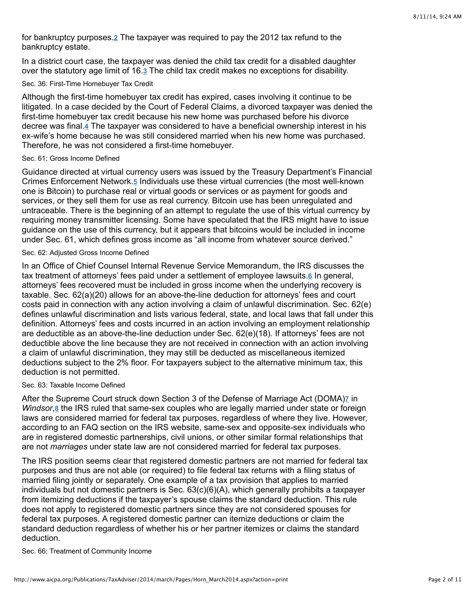for bankruptcy purposes.<u>2</u> The taxpayer was required to pay the 2012 tax refund to the bankruptcy estate.

In a district court case, the taxpayer was denied the child tax credit for a disabled daughter over the statutory age limit of 16[.](http://www.aicpa.org/Publications/TaxAdviser/2014/march/Pages/Horn_March2014.aspx?action=print#fn_3)3 The child tax credit makes no exceptions for disability.

#### Sec. 36: First-Time Homebuyer Tax Credit

Although the first-time homebuyer tax credit has expired, cases involving it continue to be litigated. In a case decided by the Court of Federal Claims, a divorced taxpayer was denied the first-time homebuyer tax credit because his new home was purchased before his divorce decreewas final.4 The taxpayer was considered to have a beneficial ownership interest in his ex-wife's home because he was still considered married when his new home was purchased. Therefore, he was not considered a first-time homebuyer.

## Sec. 61: Gross Income Defined

Guidance directed at virtual currency users was issued by the Treasury Department's Financial Crimes Enforcement Network.<sup>5</sup> Individuals use these virtual currencies (the most well-known one is Bitcoin) to purchase real or virtual goods or services or as payment for goods and services, or they sell them for use as real currency. Bitcoin use has been unregulated and untraceable. There is the beginning of an attempt to regulate the use of this virtual currency by requiring money transmitter licensing. Some have speculated that the IRS might have to issue guidance on the use of this currency, but it appears that bitcoins would be included in income under Sec. 61, which defines gross income as "all income from whatever source derived."

# Sec. 62: Adjusted Gross Income Defined

In an Office of Chief Counsel Internal Revenue Service Memorandum, the IRS discusses the tax treatment of attorneys' fees paid under a settlement of employee lawsuits.<sup>6</sup> In general, attorneys' fees recovered must be included in gross income when the underlying recovery is taxable. Sec. 62(a)(20) allows for an above-the-line deduction for attorneys' fees and court costs paid in connection with any action involving a claim of unlawful discrimination. Sec. 62(e) defines unlawful discrimination and lists various federal, state, and local laws that fall under this definition. Attorneys' fees and costs incurred in an action involving an employment relationship are deductible as an above-the-line deduction under Sec. 62(e)(18). If attorneys' fees are not deductible above the line because they are not received in connection with an action involving a claim of unlawful discrimination, they may still be deducted as miscellaneous itemized deductions subject to the 2% floor. For taxpayers subject to the alternative minimum tax, this deduction is not permitted.

## Sec. 63: Taxable Income Defined

After the Supreme Court struck down Section 3 of the Defense of Marriage Act (DOMA[\)](http://www.aicpa.org/Publications/TaxAdviser/2014/march/Pages/Horn_March2014.aspx?action=print#fn_7)<sub>Z</sub> in Windsor,<sup>8</sup> the IRS ruled that same-sex couples who are legally married under state or foreign laws are considered married for federal tax purposes, regardless of where they live. However, according to an FAQ section on the IRS website, same-sex and opposite-sex individuals who are in registered domestic partnerships, civil unions, or other similar formal relationships that are not *marriages* under state law are not considered married for federal tax purposes.

The IRS position seems clear that registered domestic partners are not married for federal tax purposes and thus are not able (or required) to file federal tax returns with a filing status of married filing jointly or separately. One example of a tax provision that applies to married individuals but not domestic partners is Sec. 63(c)(6)(A), which generally prohibits a taxpayer from itemizing deductions if the taxpayer's spouse claims the standard deduction. This rule does not apply to registered domestic partners since they are not considered spouses for federal tax purposes. A registered domestic partner can itemize deductions or claim the standard deduction regardless of whether his or her partner itemizes or claims the standard deduction.

#### Sec. 66: Treatment of Community Income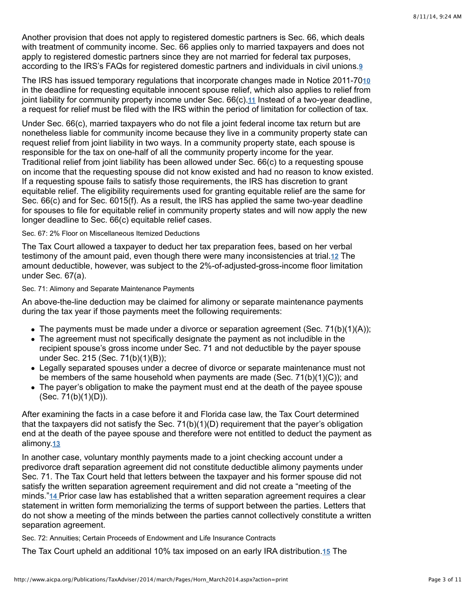Another provision that does not apply to registered domestic partners is Sec. 66, which deals with treatment of community income. Sec. 66 applies only to married taxpayers and does not apply to registered domestic partners since they are not married for federal tax purposes, according to the IRS's FAQs for registered domestic partners and individuals in civil unions. **[9](http://www.aicpa.org/Publications/TaxAdviser/2014/march/Pages/Horn_March2014.aspx?action=print#fn_9)**

The IRS has issued temporary regulations that incorporate changes made in Notice 2011-70 **[10](http://www.aicpa.org/Publications/TaxAdviser/2014/march/Pages/Horn_March2014.aspx?action=print#fn_10)** in the deadline for requesting equitable innocent spouse relief, which also applies to relief from joint liability for community property income under Sec[.](http://www.aicpa.org/Publications/TaxAdviser/2014/march/Pages/Horn_March2014.aspx?action=print#fn_11) 66(c). 11 Instead of a two-year deadline, a request for relief must be filed with the IRS within the period of limitation for collection of tax.

Under Sec. 66(c), married taxpayers who do not file a joint federal income tax return but are nonetheless liable for community income because they live in a community property state can request relief from joint liability in two ways. In a community property state, each spouse is responsible for the tax on one-half of all the community property income for the year. Traditional relief from joint liability has been allowed under Sec. 66(c) to a requesting spouse on income that the requesting spouse did not know existed and had no reason to know existed. If a requesting spouse fails to satisfy those requirements, the IRS has discretion to grant equitable relief. The eligibility requirements used for granting equitable relief are the same for Sec. 66(c) and for Sec. 6015(f). As a result, the IRS has applied the same two-year deadline for spouses to file for equitable relief in community property states and will now apply the new longer deadline to Sec. 66(c) equitable relief cases.

## Sec. 67: 2% Floor on Miscellaneous Itemized Deductions

The Tax Court allowed a taxpayer to deduct her tax preparation fees, based on her verbal testimony of the amount paid, even though there were many inconsistencies at trial.<sup>12</sup> The amount deductible, however, was subject to the 2%-of-adjusted-gross-income floor limitation under Sec. 67(a).

## Sec. 71: Alimony and Separate Maintenance Payments

An above-the-line deduction may be claimed for alimony or separate maintenance payments during the tax year if those payments meet the following requirements:

- $\bullet$  The payments must be made under a divorce or separation agreement (Sec. 71(b)(1)(A));
- The agreement must not specifically designate the payment as not includible in the recipient spouse's gross income under Sec. 71 and not deductible by the payer spouse under Sec. 215 (Sec. 71(b)(1)(B));
- Legally separated spouses under a decree of divorce or separate maintenance must not be members of the same household when payments are made (Sec. 71(b)(1)(C)); and
- The payer's obligation to make the payment must end at the death of the payee spouse (Sec. 71(b)(1)(D)).

After examining the facts in a case before it and Florida case law, the Tax Court determined that the taxpayers did not satisfy the Sec.  $71(b)(1)(D)$  requirement that the payer's obligation end at the death of the payee spouse and therefore were not entitled to deduct the payment as alimony.<u>[13](http://www.aicpa.org/Publications/TaxAdviser/2014/march/Pages/Horn_March2014.aspx?action=print#fn_13)</u>

In another case, voluntary monthly payments made to a joint checking account under a predivorce draft separation agreement did not constitute deductible alimony payments under Sec. 71. The Tax Court held that letters between the taxpayer and his former spouse did not satisfy the written separation agreement requirement and did not create a "meeting of the minds."<u>[14](http://www.aicpa.org/Publications/TaxAdviser/2014/march/Pages/Horn_March2014.aspx?action=print#fn_14) Prior case law has established that a written separation agreement requires a clear</u> statement in written form memorializing the terms of support between the parties. Letters that do not show a meeting of the minds between the parties cannot collectively constitute a written separation agreement.

Sec. 72: Annuities; Certain Proceeds of Endowment and Life Insurance Contracts

TheTax Court upheld an additional 10% tax imposed on an early IRA distribution.15 The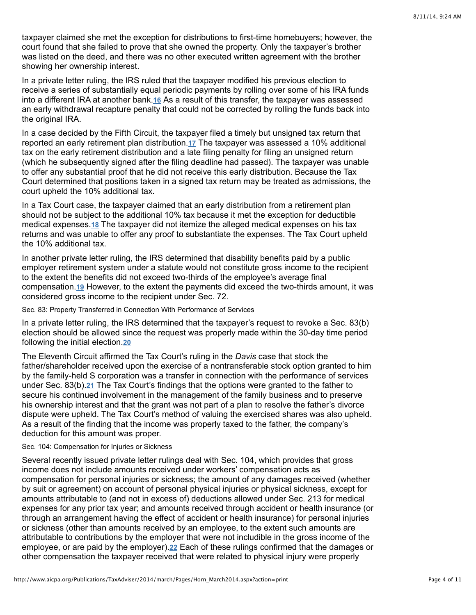taxpayer claimed she met the exception for distributions to first-time homebuyers; however, the court found that she failed to prove that she owned the property. Only the taxpayer's brother was listed on the deed, and there was no other executed written agreement with the brother showing her ownership interest.

In a private letter ruling, the IRS ruled that the taxpayer modified his previous election to receive a series of substantially equal periodic payments by rolling over some of his IRA funds into a different IRA at another bank.16 As a result of this transfer, the taxpayer was assessed an early withdrawal recapture penalty that could not be corrected by rolling the funds back into the original IRA.

In a case decided by the Fifth Circuit, the taxpayer filed a timely but unsigned tax return that reported an early retirement plan distribution[.](http://www.aicpa.org/Publications/TaxAdviser/2014/march/Pages/Horn_March2014.aspx?action=print#fn_17)<u>17</u> The taxpayer was assessed a 10% additional tax on the early retirement distribution and a late filing penalty for filing an unsigned return (which he subsequently signed after the filing deadline had passed). The taxpayer was unable to offer any substantial proof that he did not receive this early distribution. Because the Tax Court determined that positions taken in a signed tax return may be treated as admissions, the court upheld the 10% additional tax.

In a Tax Court case, the taxpayer claimed that an early distribution from a retirement plan should not be subject to the additional 10% tax because it met the exception for deductible medical expenses.<sup>18</sup> The taxpayer did not itemize the alleged medical expenses on his tax returns and was unable to offer any proof to substantiate the expenses. The Tax Court upheld the 10% additional tax.

In another private letter ruling, the IRS determined that disability benefits paid by a public employer retirement system under a statute would not constitute gross income to the recipient to the extent the benefits did not exceed two-thirds of the employee's average final compensation.<u>19</u> However, to the extent the payments did exceed the two-thirds amount, it was considered gross income to the recipient under Sec. 72.

Sec. 83: Property Transferred in Connection With Performance of Services

In a private letter ruling, the IRS determined that the taxpayer's request to revoke a Sec. 83(b) election should be allowed since the request was properly made within the 30-day time period following the initial election. **[20](http://www.aicpa.org/Publications/TaxAdviser/2014/march/Pages/Horn_March2014.aspx?action=print#fn_20)**

The Eleventh Circuit affirmed the Tax Court's ruling in the *Davis* case that stock the father/shareholder received upon the exercise of a nontransferable stock option granted to him by the family-held S corporation was a transfer in connection with the performance of services under Sec[.](http://www.aicpa.org/Publications/TaxAdviser/2014/march/Pages/Horn_March2014.aspx?action=print#fn_21) 83(b).21 The Tax Court's findings that the options were granted to the father to secure his continued involvement in the management of the family business and to preserve his ownership interest and that the grant was not part of a plan to resolve the father's divorce dispute were upheld. The Tax Court's method of valuing the exercised shares was also upheld. As a result of the finding that the income was properly taxed to the father, the company's deduction for this amount was proper.

## Sec. 104: Compensation for Injuries or Sickness

Several recently issued private letter rulings deal with Sec. 104, which provides that gross income does not include amounts received under workers' compensation acts as compensation for personal injuries or sickness; the amount of any damages received (whether by suit or agreement) on account of personal physical injuries or physical sickness, except for amounts attributable to (and not in excess of) deductions allowed under Sec. 213 for medical expenses for any prior tax year; and amounts received through accident or health insurance (or through an arrangement having the effect of accident or health insurance) for personal injuries or sickness (other than amounts received by an employee, to the extent such amounts are attributable to contributions by the employer that were not includible in the gross income of the employee, or are paid by the employer)[.](http://www.aicpa.org/Publications/TaxAdviser/2014/march/Pages/Horn_March2014.aspx?action=print#fn_22)22 Each of these rulings confirmed that the damages or other compensation the taxpayer received that were related to physical injury were properly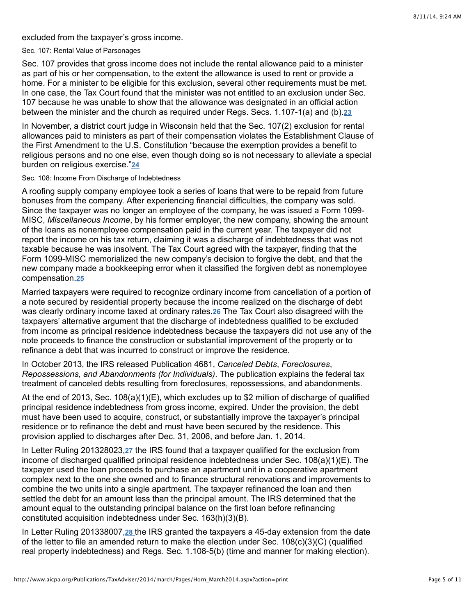excluded from the taxpayer's gross income.

Sec. 107: Rental Value of Parsonages

Sec. 107 provides that gross income does not include the rental allowance paid to a minister as part of his or her compensation, to the extent the allowance is used to rent or provide a home. For a minister to be eligible for this exclusion, several other requirements must be met. In one case, the Tax Court found that the minister was not entitled to an exclusion under Sec. 107 because he was unable to show that the allowance was designated in an official action between the minister and the church as required under Regs. Secs. 1.107-1(a) and (b). **[23](http://www.aicpa.org/Publications/TaxAdviser/2014/march/Pages/Horn_March2014.aspx?action=print#fn_23)**

In November, a district court judge in Wisconsin held that the Sec. 107(2) exclusion for rental allowances paid to ministers as part of their compensation violates the Establishment Clause of the First Amendment to the U.S. Constitution "because the exemption provides a benefit to religious persons and no one else, even though doing so is not necessary to alleviate a special burden on religious exercise." **[24](http://www.aicpa.org/Publications/TaxAdviser/2014/march/Pages/Horn_March2014.aspx?action=print#fn_24)**

#### Sec. 108: Income From Discharge of Indebtedness

A roofing supply company employee took a series of loans that were to be repaid from future bonuses from the company. After experiencing financial difficulties, the company was sold. Since the taxpayer was no longer an employee of the company, he was issued a Form 1099- MISC, *Miscellaneous Income*, by his former employer, the new company, showing the amount of the loans as nonemployee compensation paid in the current year. The taxpayer did not report the income on his tax return, claiming it was a discharge of indebtedness that was not taxable because he was insolvent. The Tax Court agreed with the taxpayer, finding that the Form 1099-MISC memorialized the new company's decision to forgive the debt, and that the new company made a bookkeeping error when it classified the forgiven debt as nonemployee compensation. **[25](http://www.aicpa.org/Publications/TaxAdviser/2014/march/Pages/Horn_March2014.aspx?action=print#fn_25)**

Married taxpayers were required to recognize ordinary income from cancellation of a portion of a note secured by residential property because the income realized on the discharge of debt wasclearly ordinary income taxed at ordinary rates.**26** The Tax Court also disagreed with the taxpayers' alternative argument that the discharge of indebtedness qualified to be excluded from income as principal residence indebtedness because the taxpayers did not use any of the note proceeds to finance the construction or substantial improvement of the property or to refinance a debt that was incurred to construct or improve the residence.

In October 2013, the IRS released Publication 4681, *Canceled Debts*, *Foreclosures*, *Repossessions, and Abandonments (for Individuals)*. The publication explains the federal tax treatment of canceled debts resulting from foreclosures, repossessions, and abandonments.

At the end of 2013, Sec. 108(a)(1)(E), which excludes up to \$2 million of discharge of qualified principal residence indebtedness from gross income, expired. Under the provision, the debt must have been used to acquire, construct, or substantially improve the taxpayer's principal residence or to refinance the debt and must have been secured by the residence. This provision applied to discharges after Dec. 31, 2006, and before Jan. 1, 2014.

InLetter Ruling 201328023,27 the IRS found that a taxpayer qualified for the exclusion from income of discharged qualified principal residence indebtedness under Sec. 108(a)(1)(E). The taxpayer used the loan proceeds to purchase an apartment unit in a cooperative apartment complex next to the one she owned and to finance structural renovations and improvements to combine the two units into a single apartment. The taxpayer refinanced the loan and then settled the debt for an amount less than the principal amount. The IRS determined that the amount equal to the outstanding principal balance on the first loan before refinancing constituted acquisition indebtedness under Sec. 163(h)(3)(B).

In Letter Ruling 201338007, [28](http://www.aicpa.org/Publications/TaxAdviser/2014/march/Pages/Horn_March2014.aspx?action=print#fn_28) the IRS granted the taxpayers a 45-day extension from the date of the letter to file an amended return to make the election under Sec. 108(c)(3)(C) (qualified real property indebtedness) and Regs. Sec. 1.108-5(b) (time and manner for making election).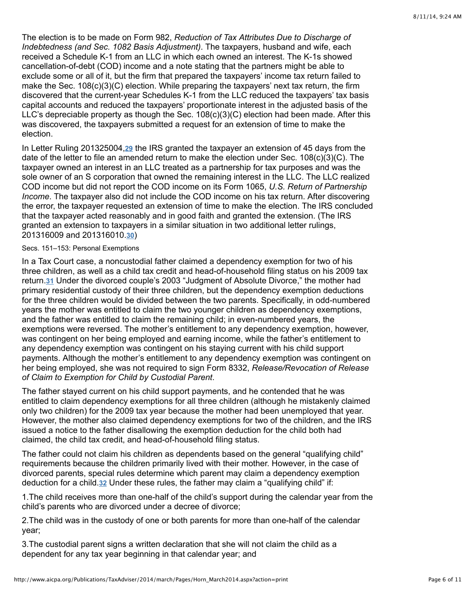The election is to be made on Form 982, *Reduction of Tax Attributes Due to Discharge of Indebtedness (and Sec. 1082 Basis Adjustment)*. The taxpayers, husband and wife, each received a Schedule K-1 from an LLC in which each owned an interest. The K-1s showed cancellation-of-debt (COD) income and a note stating that the partners might be able to exclude some or all of it, but the firm that prepared the taxpayers' income tax return failed to make the Sec. 108(c)(3)(C) election. While preparing the taxpayers' next tax return, the firm discovered that the current-year Schedules K-1 from the LLC reduced the taxpayers' tax basis capital accounts and reduced the taxpayers' proportionate interest in the adjusted basis of the LLC's depreciable property as though the Sec.  $108(c)(3)(C)$  election had been made. After this was discovered, the taxpayers submitted a request for an extension of time to make the election.

InLetter Ruling 201325004,29 the IRS granted the taxpayer an extension of 45 days from the date of the letter to file an amended return to make the election under Sec. 108(c)(3)(C). The taxpayer owned an interest in an LLC treated as a partnership for tax purposes and was the sole owner of an S corporation that owned the remaining interest in the LLC. The LLC realized COD income but did not report the COD income on its Form 1065, *U.S. Return of Partnership Income*. The taxpayer also did not include the COD income on his tax return. After discovering the error, the taxpayer requested an extension of time to make the election. The IRS concluded that the taxpayer acted reasonably and in good faith and granted the extension. (The IRS granted an extension to taxpayers in a similar situation in two additional letter rulings, 201316009 and 201316010.[30](http://www.aicpa.org/Publications/TaxAdviser/2014/march/Pages/Horn_March2014.aspx?action=print#fn_30))

## Secs. 151–153: Personal Exemptions

In a Tax Court case, a noncustodial father claimed a dependency exemption for two of his three children, as well as a child tax credit and head-of-household filing status on his 2009 tax return[.](http://www.aicpa.org/Publications/TaxAdviser/2014/march/Pages/Horn_March2014.aspx?action=print#fn_31)31 Under the divorced couple's 2003 "Judgment of Absolute Divorce," the mother had primary residential custody of their three children, but the dependency exemption deductions for the three children would be divided between the two parents. Specifically, in odd-numbered years the mother was entitled to claim the two younger children as dependency exemptions, and the father was entitled to claim the remaining child; in even-numbered years, the exemptions were reversed. The mother's entitlement to any dependency exemption, however, was contingent on her being employed and earning income, while the father's entitlement to any dependency exemption was contingent on his staying current with his child support payments. Although the mother's entitlement to any dependency exemption was contingent on her being employed, she was not required to sign Form 8332, *Release/Revocation of Release of Claim to Exemption for Child by Custodial Parent*.

The father stayed current on his child support payments, and he contended that he was entitled to claim dependency exemptions for all three children (although he mistakenly claimed only two children) for the 2009 tax year because the mother had been unemployed that year. However, the mother also claimed dependency exemptions for two of the children, and the IRS issued a notice to the father disallowing the exemption deduction for the child both had claimed, the child tax credit, and head-of-household filing status.

The father could not claim his children as dependents based on the general "qualifying child" requirements because the children primarily lived with their mother. However, in the case of divorced parents, special rules determine which parent may claim a dependency exemption deduction for a child.32 Under these rules, the father may claim a "qualifying child" if:

1.The child receives more than one-half of the child's support during the calendar year from the child's parents who are divorced under a decree of divorce;

2.The child was in the custody of one or both parents for more than one-half of the calendar year;

3.The custodial parent signs a written declaration that she will not claim the child as a dependent for any tax year beginning in that calendar year; and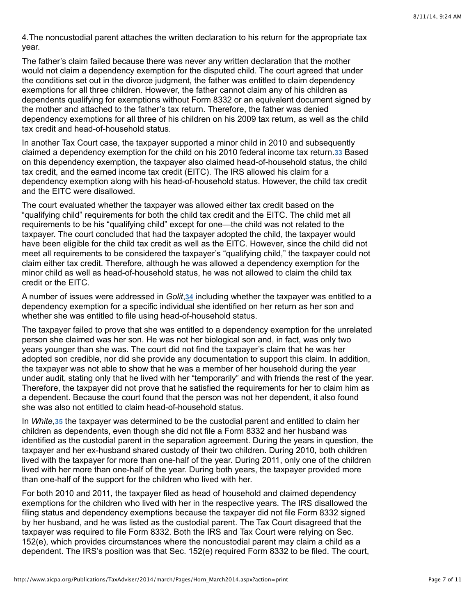4.The noncustodial parent attaches the written declaration to his return for the appropriate tax year.

The father's claim failed because there was never any written declaration that the mother would not claim a dependency exemption for the disputed child. The court agreed that under the conditions set out in the divorce judgment, the father was entitled to claim dependency exemptions for all three children. However, the father cannot claim any of his children as dependents qualifying for exemptions without Form 8332 or an equivalent document signed by the mother and attached to the father's tax return. Therefore, the father was denied dependency exemptions for all three of his children on his 2009 tax return, as well as the child tax credit and head-of-household status.

In another Tax Court case, the taxpayer supported a minor child in 2010 and subsequently claimed a dependency exemption for the child on his 2010 federal income tax return.<sup>33</sup> Based on this dependency exemption, the taxpayer also claimed head-of-household status, the child tax credit, and the earned income tax credit (EITC). The IRS allowed his claim for a dependency exemption along with his head-of-household status. However, the child tax credit and the EITC were disallowed.

The court evaluated whether the taxpayer was allowed either tax credit based on the "qualifying child" requirements for both the child tax credit and the EITC. The child met all requirements to be his "qualifying child" except for one—the child was not related to the taxpayer. The court concluded that had the taxpayer adopted the child, the taxpayer would have been eligible for the child tax credit as well as the EITC. However, since the child did not meet all requirements to be considered the taxpayer's "qualifying child," the taxpayer could not claim either tax credit. Therefore, although he was allowed a dependency exemption for the minor child as well as head-of-household status, he was not allowed to claim the child tax credit or the EITC.

A number of issues were addressed in *Golit*[,](http://www.aicpa.org/Publications/TaxAdviser/2014/march/Pages/Horn_March2014.aspx?action=print#fn_34) 34 including whether the taxpayer was entitled to a dependency exemption for a specific individual she identified on her return as her son and whether she was entitled to file using head-of-household status.

The taxpayer failed to prove that she was entitled to a dependency exemption for the unrelated person she claimed was her son. He was not her biological son and, in fact, was only two years younger than she was. The court did not find the taxpayer's claim that he was her adopted son credible, nor did she provide any documentation to support this claim. In addition, the taxpayer was not able to show that he was a member of her household during the year under audit, stating only that he lived with her "temporarily" and with friends the rest of the year. Therefore, the taxpayer did not prove that he satisfied the requirements for her to claim him as a dependent. Because the court found that the person was not her dependent, it also found she was also not entitled to claim head-of-household status.

In White[,](http://www.aicpa.org/Publications/TaxAdviser/2014/march/Pages/Horn_March2014.aspx?action=print#fn_35) 35 the taxpayer was determined to be the custodial parent and entitled to claim her children as dependents, even though she did not file a Form 8332 and her husband was identified as the custodial parent in the separation agreement. During the years in question, the taxpayer and her ex-husband shared custody of their two children. During 2010, both children lived with the taxpayer for more than one-half of the year. During 2011, only one of the children lived with her more than one-half of the year. During both years, the taxpayer provided more than one-half of the support for the children who lived with her.

For both 2010 and 2011, the taxpayer filed as head of household and claimed dependency exemptions for the children who lived with her in the respective years. The IRS disallowed the filing status and dependency exemptions because the taxpayer did not file Form 8332 signed by her husband, and he was listed as the custodial parent. The Tax Court disagreed that the taxpayer was required to file Form 8332. Both the IRS and Tax Court were relying on Sec. 152(e), which provides circumstances where the noncustodial parent may claim a child as a dependent. The IRS's position was that Sec. 152(e) required Form 8332 to be filed. The court,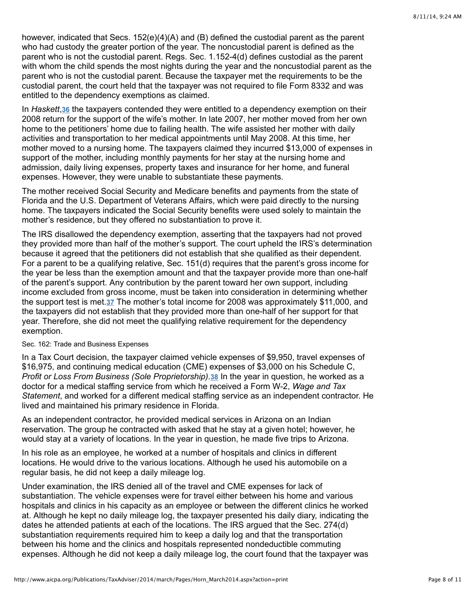however, indicated that Secs. 152(e)(4)(A) and (B) defined the custodial parent as the parent who had custody the greater portion of the year. The noncustodial parent is defined as the parent who is not the custodial parent. Regs. Sec. 1.152-4(d) defines custodial as the parent with whom the child spends the most nights during the year and the noncustodial parent as the parent who is not the custodial parent. Because the taxpayer met the requirements to be the custodial parent, the court held that the taxpayer was not required to file Form 8332 and was entitled to the dependency exemptions as claimed.

In Haskett[,](http://www.aicpa.org/Publications/TaxAdviser/2014/march/Pages/Horn_March2014.aspx?action=print#fn_36) 36 the taxpayers contended they were entitled to a dependency exemption on their 2008 return for the support of the wife's mother. In late 2007, her mother moved from her own home to the petitioners' home due to failing health. The wife assisted her mother with daily activities and transportation to her medical appointments until May 2008. At this time, her mother moved to a nursing home. The taxpayers claimed they incurred \$13,000 of expenses in support of the mother, including monthly payments for her stay at the nursing home and admission, daily living expenses, property taxes and insurance for her home, and funeral expenses. However, they were unable to substantiate these payments.

The mother received Social Security and Medicare benefits and payments from the state of Florida and the U.S. Department of Veterans Affairs, which were paid directly to the nursing home. The taxpayers indicated the Social Security benefits were used solely to maintain the mother's residence, but they offered no substantiation to prove it.

The IRS disallowed the dependency exemption, asserting that the taxpayers had not proved they provided more than half of the mother's support. The court upheld the IRS's determination because it agreed that the petitioners did not establish that she qualified as their dependent. For a parent to be a qualifying relative, Sec. 151(d) requires that the parent's gross income for the year be less than the exemption amount and that the taxpayer provide more than one-half of the parent's support. Any contribution by the parent toward her own support, including income excluded from gross income, must be taken into consideration in determining whether the support test is met.37 The mother's total income for 2008 was approximately \$11,000, and the taxpayers did not establish that they provided more than one-half of her support for that year. Therefore, she did not meet the qualifying relative requirement for the dependency exemption.

## Sec. 162: Trade and Business Expenses

In a Tax Court decision, the taxpayer claimed vehicle expenses of \$9,950, travel expenses of \$16,975, and continuing medical education (CME) expenses of \$3,000 on his Schedule C, Profit or Loss From Business (Sole Proprietorship)[.](http://www.aicpa.org/Publications/TaxAdviser/2014/march/Pages/Horn_March2014.aspx?action=print#fn_38) 38 In the year in question, he worked as a doctor for a medical staffing service from which he received a Form W-2, *Wage and Tax Statement*, and worked for a different medical staffing service as an independent contractor. He lived and maintained his primary residence in Florida.

As an independent contractor, he provided medical services in Arizona on an Indian reservation. The group he contracted with asked that he stay at a given hotel; however, he would stay at a variety of locations. In the year in question, he made five trips to Arizona.

In his role as an employee, he worked at a number of hospitals and clinics in different locations. He would drive to the various locations. Although he used his automobile on a regular basis, he did not keep a daily mileage log.

Under examination, the IRS denied all of the travel and CME expenses for lack of substantiation. The vehicle expenses were for travel either between his home and various hospitals and clinics in his capacity as an employee or between the different clinics he worked at. Although he kept no daily mileage log, the taxpayer presented his daily diary, indicating the dates he attended patients at each of the locations. The IRS argued that the Sec. 274(d) substantiation requirements required him to keep a daily log and that the transportation between his home and the clinics and hospitals represented nondeductible commuting expenses. Although he did not keep a daily mileage log, the court found that the taxpayer was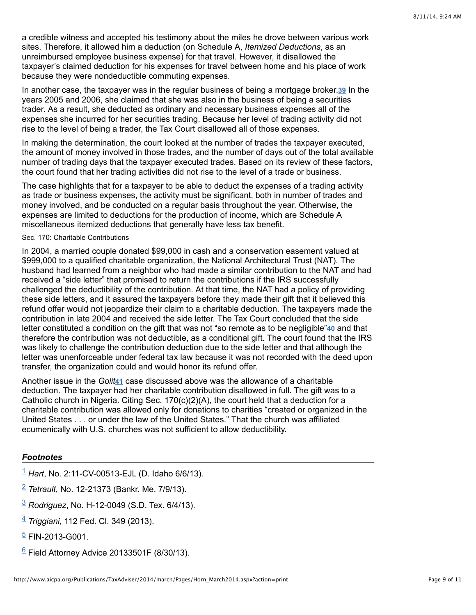a credible witness and accepted his testimony about the miles he drove between various work sites. Therefore, it allowed him a deduction (on Schedule A, *Itemized Deductions*, as an unreimbursed employee business expense) for that travel. However, it disallowed the taxpayer's claimed deduction for his expenses for travel between home and his place of work because they were nondeductible commuting expenses.

In another case, the taxpayer was in the regular business of being a mortgage broker.39 In the years 2005 and 2006, she claimed that she was also in the business of being a securities trader. As a result, she deducted as ordinary and necessary business expenses all of the expenses she incurred for her securities trading. Because her level of trading activity did not rise to the level of being a trader, the Tax Court disallowed all of those expenses.

In making the determination, the court looked at the number of trades the taxpayer executed, the amount of money involved in those trades, and the number of days out of the total available number of trading days that the taxpayer executed trades. Based on its review of these factors, the court found that her trading activities did not rise to the level of a trade or business.

The case highlights that for a taxpayer to be able to deduct the expenses of a trading activity as trade or business expenses, the activity must be significant, both in number of trades and money involved, and be conducted on a regular basis throughout the year. Otherwise, the expenses are limited to deductions for the production of income, which are Schedule A miscellaneous itemized deductions that generally have less tax benefit.

### Sec. 170: Charitable Contributions

In 2004, a married couple donated \$99,000 in cash and a conservation easement valued at \$999,000 to a qualified charitable organization, the National Architectural Trust (NAT). The husband had learned from a neighbor who had made a similar contribution to the NAT and had received a "side letter" that promised to return the contributions if the IRS successfully challenged the deductibility of the contribution. At that time, the NAT had a policy of providing these side letters, and it assured the taxpayers before they made their gift that it believed this refund offer would not jeopardize their claim to a charitable deduction. The taxpayers made the contribution in late 2004 and received the side letter. The Tax Court concluded that the side letter constituted a condition on the gift that was not "so remote as to be negligible"<sup>40</sup> and that therefore the contribution was not deductible, as a conditional gift. The court found that the IRS was likely to challenge the contribution deduction due to the side letter and that although the letter was unenforceable under federal tax law because it was not recorded with the deed upon transfer, the organization could and would honor its refund offer.

Another issue in the Golit<sup>[41](http://www.aicpa.org/Publications/TaxAdviser/2014/march/Pages/Horn_March2014.aspx?action=print#fn_41)</sup> case discussed above was the allowance of a charitable deduction. The taxpayer had her charitable contribution disallowed in full. The gift was to a Catholic church in Nigeria. Citing Sec.  $170(c)(2)(A)$ , the court held that a deduction for a charitable contribution was allowed only for donations to charities "created or organized in the United States . . . or under the law of the United States." That the church was affiliated ecumenically with U.S. churches was not sufficient to allow deductibility.

# *Footnotes*

- *Hart*, No. 2:11-CV-00513-EJL (D. Idaho 6/6/13). [1](http://www.aicpa.org/Publications/TaxAdviser/2014/march/Pages/Horn_March2014.aspx?action=print#fnref_1)
- *Tetrault*, No. 12-21373 (Bankr. Me. 7/9/13). [2](http://www.aicpa.org/Publications/TaxAdviser/2014/march/Pages/Horn_March2014.aspx?action=print#fnref_2)
- *Rodriguez*, No. H-12-0049 (S.D. Tex. 6/4/13). [3](http://www.aicpa.org/Publications/TaxAdviser/2014/march/Pages/Horn_March2014.aspx?action=print#fnref_3)
- *Triggiani*, 112 Fed. Cl. 349 (2013). [4](http://www.aicpa.org/Publications/TaxAdviser/2014/march/Pages/Horn_March2014.aspx?action=print#fnref_4)
- <sup>[5](http://www.aicpa.org/Publications/TaxAdviser/2014/march/Pages/Horn_March2014.aspx?action=print#fnref_5)</sup> FIN-2013-G001.
- $6$  Field Attorney Advice 20133501F (8/30/13).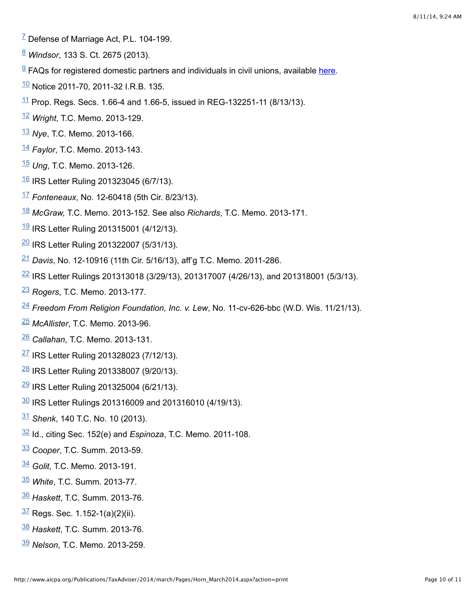- $^7$  $^7$  Defense of Marriage Act, P.L. 104-199.
- *Windsor*, 133 S. Ct. 2675 (2013).
- FAQs for registered domestic partners and individuals in civil unions, available here.
- Notice 2011-70, 2011-32 I.R.B. 135.
- $\frac{11}{1}$  $\frac{11}{1}$  $\frac{11}{1}$  Prop. Regs. Secs. 1.66-4 and 1.66-5, issued in REG-132251-11 (8/13/13).
- Wright, T.C. Memo. 2013-129.
- Nye, T.C. Memo. 2013-166.
- Faylor, T.C. Memo. 2013-143.
- Ung, T.C. Memo. 2013-126.
- $\frac{16}{16}$  $\frac{16}{16}$  $\frac{16}{16}$  IRS Letter Ruling 201323045 (6/7/13).
- *Fonteneaux*, No. 12-60418 (5th Cir. 8/23/13).
- *McGraw,* T.C. Memo. 2013-152. See also *Richards*, T.C. Memo. 2013-171.
- $\frac{19}{18}$  $\frac{19}{18}$  $\frac{19}{18}$  IRS Letter Ruling 201315001 (4/12/13).
- $\frac{20}{21}$  $\frac{20}{21}$  $\frac{20}{21}$  IRS Letter Ruling 201322007 (5/31/13).
- <sup>[21](http://www.aicpa.org/Publications/TaxAdviser/2014/march/Pages/Horn_March2014.aspx?action=print#fnref_21)</sup> Davis, No. 12-10916 (11th Cir. 5/16/13), aff'g T.C. Memo. 2011-286.
- IRS Letter Rulings 201313018 (3/29/13), 201317007 (4/26/13), and 201318001 (5/3/13).
- *Rogers*, T.C. Memo. 2013-177.
- *Freedom From Religion Foundation, Inc. v. Lew*, No. 11-cv-626-bbc (W.D. Wis. 11/21/13).
- *McAllister*, T.C. Memo. 2013-96.
- *Callahan*, T.C. Memo. 2013-131.
- IRS Letter Ruling 201328023 (7/12/13).
- $\frac{28}{18}$  $\frac{28}{18}$  $\frac{28}{18}$  IRS Letter Ruling 201338007 (9/20/13).
- $\frac{29}{18}$  $\frac{29}{18}$  $\frac{29}{18}$  IRS Letter Ruling 201325004 (6/21/13).
- $\frac{30}{18}$  $\frac{30}{18}$  $\frac{30}{18}$  IRS Letter Rulings 201316009 and 201316010 (4/19/13).
- *Shenk*, 140 T.C. No. 10 (2013).
- $\frac{32}{1}$  $\frac{32}{1}$  $\frac{32}{1}$  Id., citing Sec. 152(e) and *Espinoza*, T.C. Memo. 2011-108.
- *Cooper*, T.C. Summ. 2013-59.
- *Golit*, T.C. Memo. 2013-191.
- *White*, T.C. Summ. 2013-77.
- *Haskett*, T.C. Summ. 2013-76.
- $\frac{37}{3}$  $\frac{37}{3}$  $\frac{37}{3}$  Regs. Sec. 1.152-1(a)(2)(ii).
- *Haskett*, T.C. Summ. 2013-76.
- *Nelson*, T.C. Memo. 2013-259.